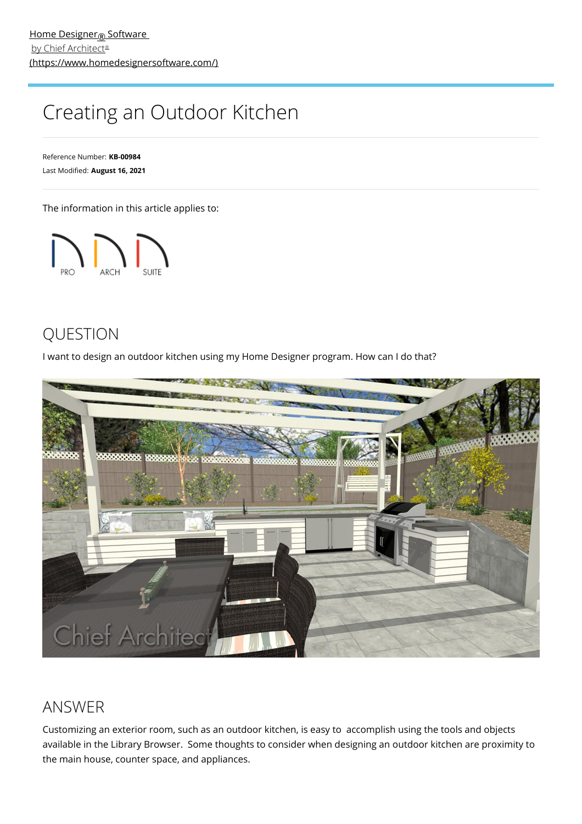# Creating an Outdoor Kitchen

Reference Number: **KB-00984** Last Modified: **August 16, 2021**

The information in this article applies to:



## QUESTION

I want to design an outdoor kitchen using my Home Designer program. How can I do that?



### ANSWER

Customizing an exterior room, such as an outdoor kitchen, is easy to accomplish using the tools and objects available in the Library Browser. Some thoughts to consider when designing an outdoor kitchen are proximity to the main house, counter space, and appliances.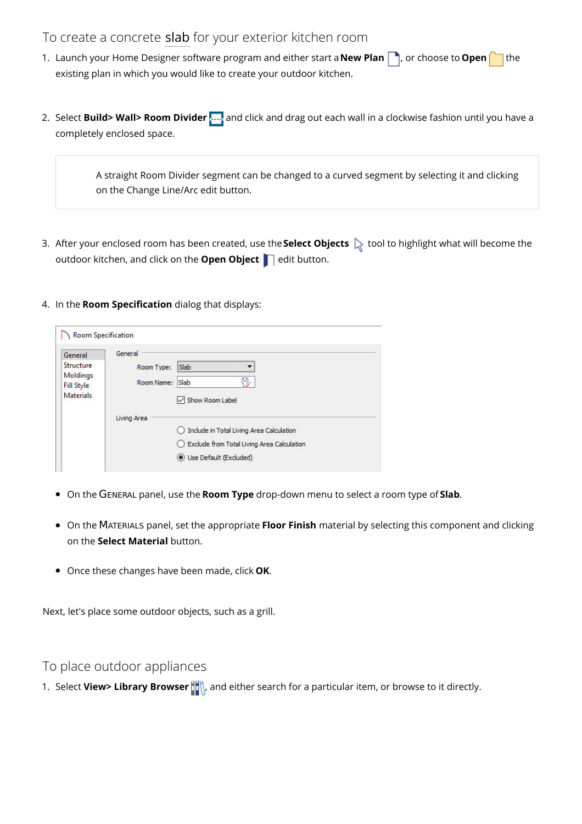#### To create a concrete slab for your exterior kitchen room

- 1. Launch your Home Designer software program and either start a **New Plan** , or choose to **Open** ithe existing plan in which you would like to create your outdoor kitchen.
- 2. Select **Build> Wall> Room Divider** .... and click and drag out each wall in a clockwise fashion until you have a completely enclosed space.

A straight Room Divider segment can be changed to a curved segment by selecting it and clicking on the Change Line/Arc edit button.

3. After your enclosed room has been created, use the **Select Objects**  $\&set$  tool to highlight what will become the outdoor kitchen, and click on the **Open Object** edit button.

#### 4. In the **Room Specification** dialog that displays:

| General                       | General     |                                              |  |
|-------------------------------|-------------|----------------------------------------------|--|
| Structure                     | Room Type:  | <b>Slab</b>                                  |  |
| Moldings<br><b>Fill Style</b> | Room Name:  | Slab                                         |  |
| <b>Materials</b>              |             | Show Room Label                              |  |
|                               | Living Area |                                              |  |
|                               |             | 1 Include in Total Living Area Calculation   |  |
|                               |             | ◯ Exclude from Total Living Area Calculation |  |
|                               |             | Use Default (Excluded)                       |  |

- On the GENERAL panel, use the **Room Type** drop-down menu to select a room type of **Slab**.
- On the MATERIALS panel, set the appropriate **Floor Finish** material by selecting this component and clicking on the **Select Material** button.
- Once these changes have been made, click **OK**.

Next, let's place some outdoor objects, such as a grill.

#### To place outdoor appliances

1. Select **View> Library Browser**  $\frac{1}{2}$ , and either search for a particular item, or browse to it directly.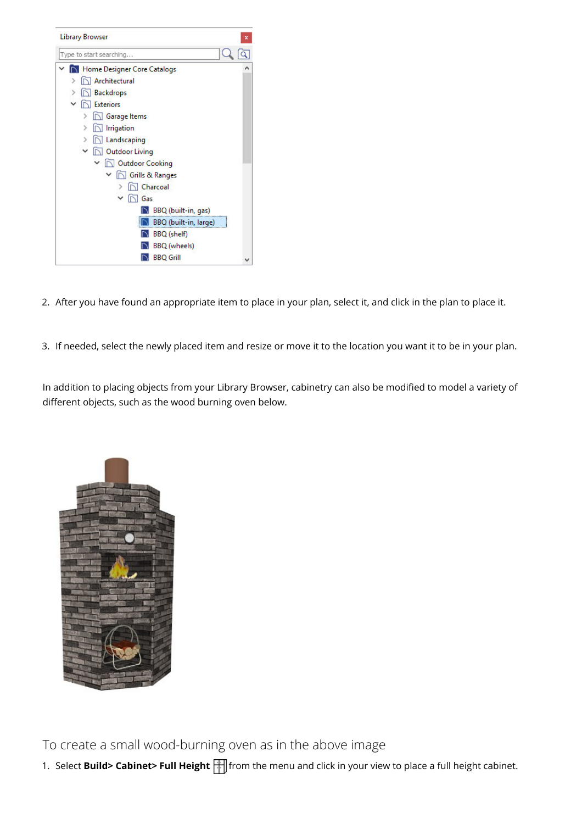

- 2. After you have found an appropriate item to place in your plan, select it, and click in the plan to place it.
- 3. If needed, select the newly placed item and resize or move it to the location you want it to be in your plan.

In addition to placing objects from your Library Browser, cabinetry can also be modified to model a variety of different objects, such as the wood burning oven below.



To create a small wood-burning oven as in the above image

1. Select **Build> Cabinet> Full Height** from the menu and click in your view to place a full height cabinet.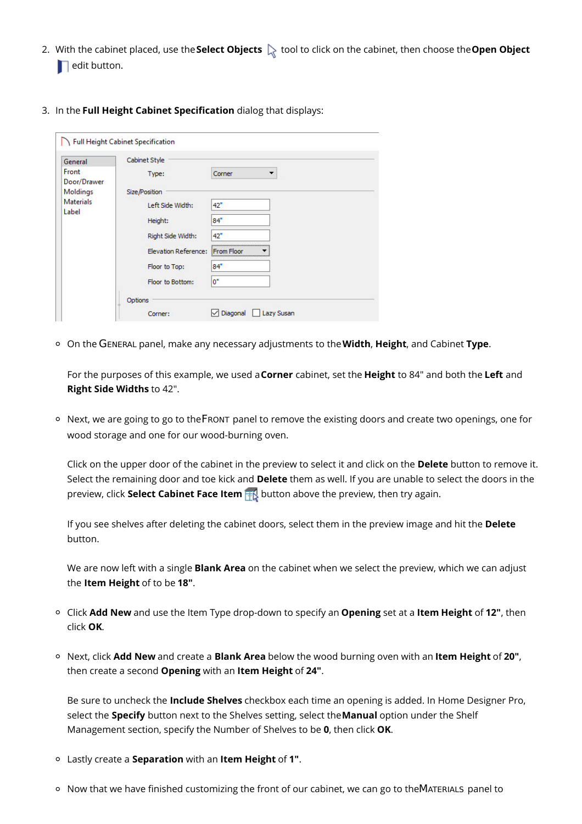- 2. With the cabinet placed, use the **Select Objects**  $\&$  tool to click on the cabinet, then choose the **Open Object**  $\blacksquare$  edit button.
- 3. In the **Full Height Cabinet Specification** dialog that displays:

| General                   | Cabinet Style               |                               |  |
|---------------------------|-----------------------------|-------------------------------|--|
| Front<br>Door/Drawer      | Type:                       | Corner                        |  |
| Moldings                  | Size/Position               |                               |  |
| <b>Materials</b><br>Label | Left Side Width:            | 42"                           |  |
|                           | Height:                     | 84"                           |  |
|                           | Right Side Width:           | 42"                           |  |
|                           | <b>Elevation Reference:</b> | From Floor                    |  |
|                           | Floor to Top:               | 84"                           |  |
|                           | Floor to Bottom:            | 0"                            |  |
|                           | Options                     |                               |  |
|                           | Corner:                     | Diagonal<br><b>Lazy Susan</b> |  |

On the GENERAL panel, make any necessary adjustments to the**Width**, **Height**, and Cabinet **Type**.

For the purposes of this example, we used a**Corner** cabinet, set the **Height** to 84" and both the **Left** and **Right Side Widths** to 42".

 $\circ$  Next, we are going to go to the FRONT panel to remove the existing doors and create two openings, one for wood storage and one for our wood-burning oven.

Click on the upper door of the cabinet in the preview to select it and click on the **Delete** button to remove it. Select the remaining door and toe kick and **Delete** them as well. If you are unable to select the doors in the preview, click **Select Cabinet Face Item** button above the preview, then try again.

If you see shelves after deleting the cabinet doors, select them in the preview image and hit the **Delete** button.

We are now left with a single **Blank Area** on the cabinet when we select the preview, which we can adjust the **Item Height** of to be **18"**.

- Click **Add New** and use the Item Type drop-down to specify an **Opening** set at a **Item Height** of **12"**, then click **OK**.
- Next, click **Add New** and create a **Blank Area** below the wood burning oven with an **Item Height** of **20"**, then create a second **Opening** with an **Item Height** of **24"**.

Be sure to uncheck the **Include Shelves** checkbox each time an opening is added. In Home Designer Pro, select the **Specify** button next to the Shelves setting, select the**Manual** option under the Shelf Management section, specify the Number of Shelves to be **0**, then click **OK**.

- Lastly create a **Separation** with an **Item Height** of **1"**.
- $\circ$  Now that we have finished customizing the front of our cabinet, we can go to theMATERIALS panel to